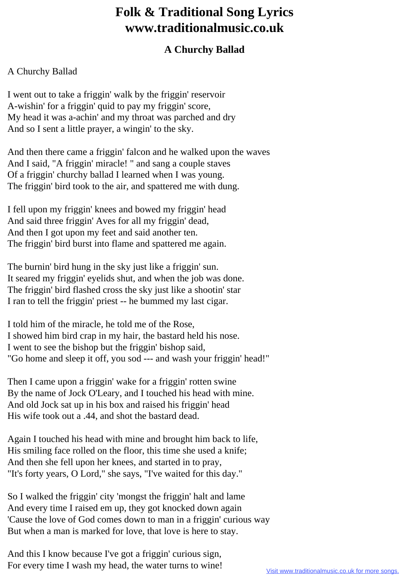## **Folk & Traditional Song Lyrics www.traditionalmusic.co.uk**

## **A Churchy Ballad**

## A Churchy Ballad

I went out to take a friggin' walk by the friggin' reservoir A-wishin' for a friggin' quid to pay my friggin' score, My head it was a-achin' and my throat was parched and dry And so I sent a little prayer, a wingin' to the sky.

And then there came a friggin' falcon and he walked upon the waves And I said, "A friggin' miracle! " and sang a couple staves Of a friggin' churchy ballad I learned when I was young. The friggin' bird took to the air, and spattered me with dung.

I fell upon my friggin' knees and bowed my friggin' head And said three friggin' Aves for all my friggin' dead, And then I got upon my feet and said another ten. The friggin' bird burst into flame and spattered me again.

The burnin' bird hung in the sky just like a friggin' sun. It seared my friggin' eyelids shut, and when the job was done. The friggin' bird flashed cross the sky just like a shootin' star I ran to tell the friggin' priest -- he bummed my last cigar.

I told him of the miracle, he told me of the Rose, I showed him bird crap in my hair, the bastard held his nose. I went to see the bishop but the friggin' bishop said, "Go home and sleep it off, you sod --- and wash your friggin' head!"

Then I came upon a friggin' wake for a friggin' rotten swine By the name of Jock O'Leary, and I touched his head with mine. And old Jock sat up in his box and raised his friggin' head His wife took out a .44, and shot the bastard dead.

Again I touched his head with mine and brought him back to life, His smiling face rolled on the floor, this time she used a knife; And then she fell upon her knees, and started in to pray, "It's forty years, O Lord," she says, "I've waited for this day."

So I walked the friggin' city 'mongst the friggin' halt and lame And every time I raised em up, they got knocked down again 'Cause the love of God comes down to man in a friggin' curious way But when a man is marked for love, that love is here to stay.

And this I know because I've got a friggin' curious sign, For every time I wash my head, the water turns to wine!